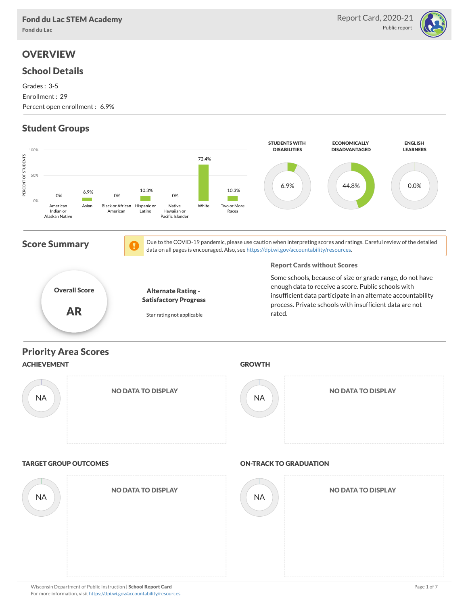

# **OVERVIEW**

### School Details

Grades : 3-5 Enrollment : 29 Percent open enrollment : 6.9%

# Student Groups

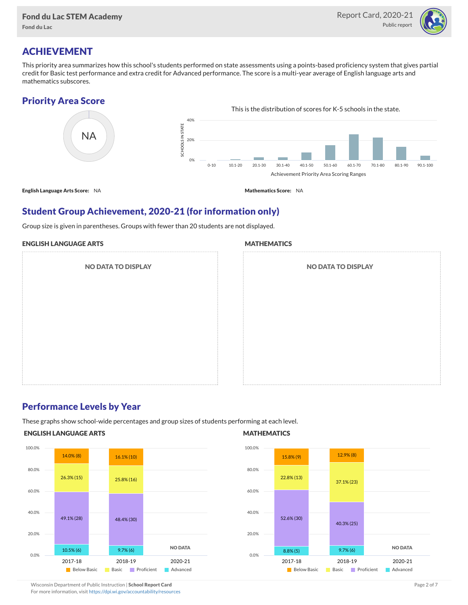

### ACHIEVEMENT

This priority area summarizes how this school's students performed on state assessments using a points-based proficiency system that gives partial credit for Basic test performance and extra credit for Advanced performance. The score is a multi-year average of English language arts and mathematics subscores.

### Priority Area Score



### Student Group Achievement, 2020-21 (for information only)

Group size is given in parentheses. Groups with fewer than 20 students are not displayed.

#### ENGLISH LANGUAGE ARTS

NO DATA TO DISPLAY

#### **MATHEMATICS**

| <b>NO DATA TO DISPLAY</b> |  |
|---------------------------|--|
|                           |  |
|                           |  |
|                           |  |
|                           |  |
|                           |  |

### Performance Levels by Year

These graphs show school-wide percentages and group sizes of students performing at each level.

#### ENGLISH LANGUAGE ARTS



### **MATHEMATICS**



Wisconsin Department of Public Instruction | School Report Card Page 2 of 7 and 2008 and 2009 and 2 of 7 and 2 of 7 For more information, visit <https://dpi.wi.gov/accountability/resources>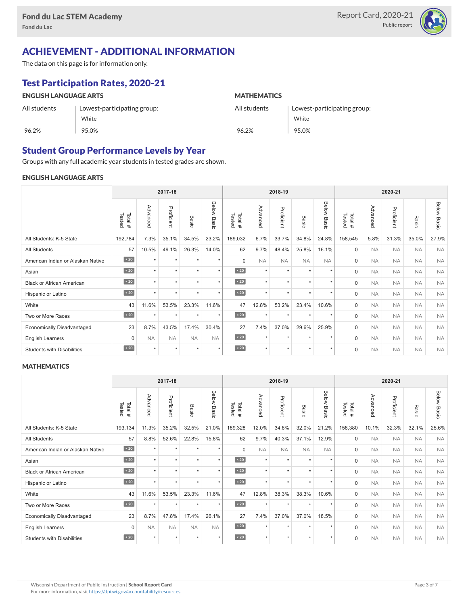

## ACHIEVEMENT - ADDITIONAL INFORMATION

The data on this page is for information only.

## Test Participation Rates, 2020-21

| <b>ENGLISH LANGUAGE ARTS</b> |                             | <b>MATHEMATICS</b> |                             |  |  |  |
|------------------------------|-----------------------------|--------------------|-----------------------------|--|--|--|
| All students                 | Lowest-participating group: |                    | Lowest-participating group: |  |  |  |
|                              | White                       |                    | White                       |  |  |  |
| 96.2%                        | 95.0%                       | 96.2%              | 95.0%                       |  |  |  |

### Student Group Performance Levels by Year

Groups with any full academic year students in tested grades are shown.

#### ENGLISH LANGUAGE ARTS

| 2017-18                           |                   |           |            |           |                | 2018-19          |           |            |           | 2020-21        |                  |           |            |           |                    |
|-----------------------------------|-------------------|-----------|------------|-----------|----------------|------------------|-----------|------------|-----------|----------------|------------------|-----------|------------|-----------|--------------------|
|                                   | Tested<br>Total # | Advanced  | Proficient | Basic     | Below<br>Basic | Tested<br>Total# | Advanced  | Proficient | Basic     | Below<br>Basic | Tested<br>Total# | Advanced  | Proficient | Basic     | <b>Below Basic</b> |
| All Students: K-5 State           | 192,784           | 7.3%      | 35.1%      | 34.5%     | 23.2%          | 189,032          | 6.7%      | 33.7%      | 34.8%     | 24.8%          | 158,545          | 5.8%      | 31.3%      | 35.0%     | 27.9%              |
| <b>All Students</b>               | 57                | 10.5%     | 49.1%      | 26.3%     | 14.0%          | 62               | 9.7%      | 48.4%      | 25.8%     | 16.1%          | $\mathbf 0$      | <b>NA</b> | <b>NA</b>  | <b>NA</b> | <b>NA</b>          |
| American Indian or Alaskan Native | $\overline{20}$   | $\star$   | $\star$    | $\star$   | $\star$        | $\Omega$         | <b>NA</b> | <b>NA</b>  | <b>NA</b> | <b>NA</b>      | $\Omega$         | <b>NA</b> | <b>NA</b>  | <b>NA</b> | <b>NA</b>          |
| Asian                             | $\sim 20$         | $\star$   | $\star$    | $\star$   | $\star$        | $\sim 20$        | $\star$   | $\star$    | $\star$   | $\star$        | $\mathbf 0$      | <b>NA</b> | <b>NA</b>  | <b>NA</b> | <b>NA</b>          |
| <b>Black or African American</b>  | $\angle 20$       | $\star$   | ٠          | ٠         | $\star$        | $\angle 20$      | $\star$   | $\star$    | $\ddot{}$ | $\star$        | $\Omega$         | <b>NA</b> | <b>NA</b>  | <b>NA</b> | <b>NA</b>          |
| Hispanic or Latino                | $\angle 20$       | $\ddot{}$ | $\star$    | $\star$   | $\star$        | $\angle 20$      | $\star$   | $\star$    | $\star$   | $\star$        | $\mathbf 0$      | <b>NA</b> | <b>NA</b>  | <b>NA</b> | <b>NA</b>          |
| White                             | 43                | 11.6%     | 53.5%      | 23.3%     | 11.6%          | 47               | 12.8%     | 53.2%      | 23.4%     | 10.6%          | $\mathbf 0$      | <b>NA</b> | <b>NA</b>  | <b>NA</b> | <b>NA</b>          |
| Two or More Races                 | $\angle 20$       | $\star$   | $\star$    | $\star$   | $\star$        | $\sim 20$        | $\star$   | $\star$    | $\star$   | $\star$        | $\mathbf 0$      | <b>NA</b> | <b>NA</b>  | <b>NA</b> | <b>NA</b>          |
| <b>Economically Disadvantaged</b> | 23                | 8.7%      | 43.5%      | 17.4%     | 30.4%          | 27               | 7.4%      | 37.0%      | 29.6%     | 25.9%          | $\mathbf 0$      | <b>NA</b> | <b>NA</b>  | <b>NA</b> | <b>NA</b>          |
| English Learners                  | 0                 | <b>NA</b> | <b>NA</b>  | <b>NA</b> | <b>NA</b>      | $\sim 20$        | $\star$   | $\star$    | $\star$   | $\star$        | $\mathbf 0$      | <b>NA</b> | <b>NA</b>  | <b>NA</b> | <b>NA</b>          |
| <b>Students with Disabilities</b> | $\sim 20$         | $\star$   | $\star$    | $\star$   | $\star$        | $\angle 20$      | $\star$   | $\star$    | $\ddot{}$ | $\star$        | $\mathbf 0$      | <b>NA</b> | <b>NA</b>  | <b>NA</b> | <b>NA</b>          |

#### **MATHEMATICS**

|                                   |                   |           | 2017-18    |           |                | 2018-19          |           |            |                      | 2020-21              |                  |           |            |           |                    |
|-----------------------------------|-------------------|-----------|------------|-----------|----------------|------------------|-----------|------------|----------------------|----------------------|------------------|-----------|------------|-----------|--------------------|
|                                   | Tested<br>Total # | Advanced  | Proficient | Basic     | Below<br>Basic | Tested<br>Total# | Advanced  | Proficient | Basic                | Below<br>Basic       | Tested<br>Total# | Advanced  | Proficient | Basic     | <b>Below Basic</b> |
| All Students: K-5 State           | 193,134           | 11.3%     | 35.2%      | 32.5%     | 21.0%          | 189,328          | 12.0%     | 34.8%      | 32.0%                | 21.2%                | 158,380          | 10.1%     | 32.3%      | 32.1%     | 25.6%              |
| <b>All Students</b>               | 57                | 8.8%      | 52.6%      | 22.8%     | 15.8%          | 62               | 9.7%      | 40.3%      | 37.1%                | 12.9%                | $\mathbf 0$      | <b>NA</b> | <b>NA</b>  | <b>NA</b> | <b>NA</b>          |
| American Indian or Alaskan Native | $\overline{20}$   | $\ddot{}$ | $\star$    | ٠         | $\star$        | $\Omega$         | <b>NA</b> | <b>NA</b>  | <b>NA</b>            | <b>NA</b>            | $\mathbf 0$      | <b>NA</b> | <b>NA</b>  | <b>NA</b> | <b>NA</b>          |
| Asian                             | $\sim 20$         | $\star$   | $\star$    | $\star$   | $\star$        | $\sim 20$        | $\star$   | $\star$    | $\star$              | $\star$              | $\mathbf 0$      | <b>NA</b> | <b>NA</b>  | <b>NA</b> | <b>NA</b>          |
| <b>Black or African American</b>  | $\sim 20$         | $\ddot{}$ | ٠          | ٠         | $\star$        | $\angle 20$      | $\star$   | $\star$    | ٠                    | ٠                    | 0                | <b>NA</b> | <b>NA</b>  | <b>NA</b> | <b>NA</b>          |
| Hispanic or Latino                | $\angle 20$       | $\ddot{}$ | $\star$    | ٠         | $\star$        | $\angle 20$      | $\star$   | $\star$    | $\ddot{\phantom{1}}$ | $\ddot{\phantom{1}}$ | $\mathbf 0$      | <b>NA</b> | <b>NA</b>  | <b>NA</b> | <b>NA</b>          |
| White                             | 43                | 11.6%     | 53.5%      | 23.3%     | 11.6%          | 47               | 12.8%     | 38.3%      | 38.3%                | 10.6%                | $\mathbf 0$      | <b>NA</b> | <b>NA</b>  | <b>NA</b> | <b>NA</b>          |
| Two or More Races                 | $\sim 20$         | $\ddot{}$ | $\star$    | $\star$   | $\star$        | $\sim 20$        | $\star$   | $\star$    | $\star$              | $\star$              | $\mathbf 0$      | <b>NA</b> | <b>NA</b>  | <b>NA</b> | <b>NA</b>          |
| <b>Economically Disadvantaged</b> | 23                | 8.7%      | 47.8%      | 17.4%     | 26.1%          | 27               | 7.4%      | 37.0%      | 37.0%                | 18.5%                | $\mathbf 0$      | <b>NA</b> | <b>NA</b>  | <b>NA</b> | <b>NA</b>          |
| English Learners                  | 0                 | <b>NA</b> | <b>NA</b>  | <b>NA</b> | <b>NA</b>      | $\angle 20$      | $\star$   | $\star$    | $\star$              | $\star$              | $\mathbf 0$      | <b>NA</b> | <b>NA</b>  | <b>NA</b> | <b>NA</b>          |
| <b>Students with Disabilities</b> | $\sim 20$         | $\star$   | $\star$    | $\star$   | $\star$        | $\sim 20$        | $\star$   | $\star$    | $\star$              | $\star$              | $\Omega$         | <b>NA</b> | <b>NA</b>  | <b>NA</b> | <b>NA</b>          |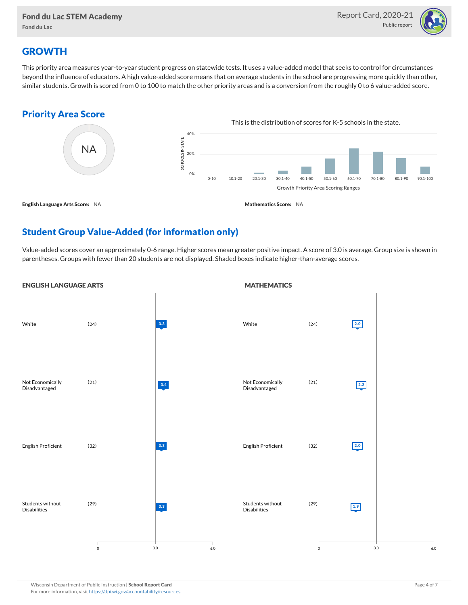

## **GROWTH**

This priority area measures year-to-year student progress on statewide tests. It uses a value-added model that seeks to control for circumstances beyond the influence of educators. A high value-added score means that on average students in the school are progressing more quickly than other, similar students. Growth is scored from 0 to 100 to match the other priority areas and is a conversion from the roughly 0 to 6 value-added score.

### Priority Area Score



## Student Group Value-Added (for information only)

Value-added scores cover an approximately 0-6 range. Higher scores mean greater positive impact. A score of 3.0 is average. Group size is shown in parentheses. Groups with fewer than 20 students are not displayed. Shaded boxes indicate higher-than-average scores.

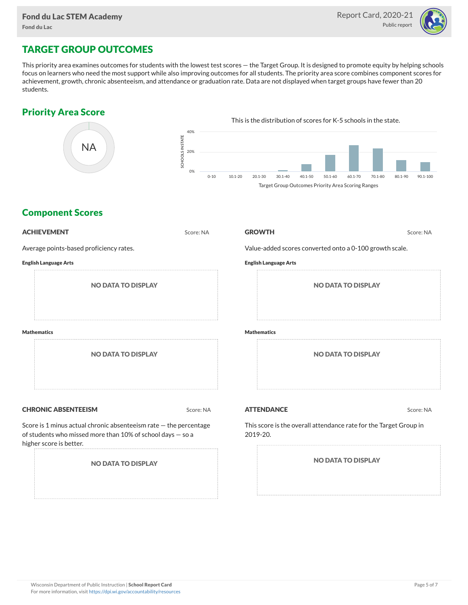

## TARGET GROUP OUTCOMES

This priority area examines outcomes for students with the lowest test scores — the Target Group. It is designed to promote equity by helping schools focus on learners who need the most support while also improving outcomes for all students. The priority area score combines component scores for achievement, growth, chronic absenteeism, and attendance or graduation rate. Data are not displayed when target groups have fewer than 20 students.

### Priority Area Score



### Component Scores

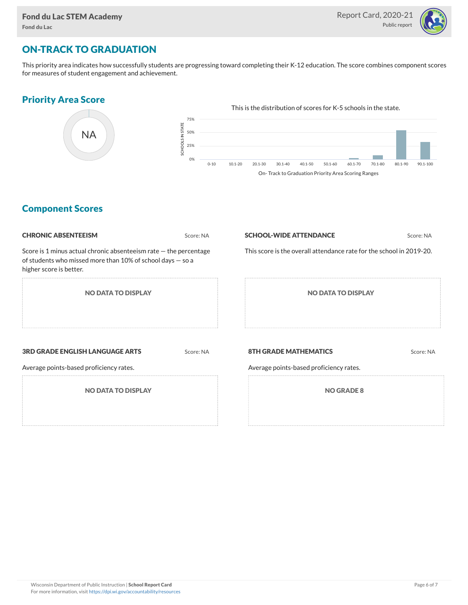

## ON-TRACK TO GRADUATION

This priority area indicates how successfully students are progressing toward completing their K-12 education. The score combines component scores for measures of student engagement and achievement.

### Priority Area Score



### Component Scores

| <b>CHRONIC ABSENTEEISM</b>                                                                                                                                     | Score: NA | <b>SCHOOL-WIDE ATTENDANCE</b>                                           | Score: NA |  |  |  |
|----------------------------------------------------------------------------------------------------------------------------------------------------------------|-----------|-------------------------------------------------------------------------|-----------|--|--|--|
| Score is 1 minus actual chronic absenteeism rate $-$ the percentage<br>of students who missed more than 10% of school days $-$ so a<br>higher score is better. |           | This score is the overall attendance rate for the school in 2019-20.    |           |  |  |  |
| <b>NO DATA TO DISPLAY</b>                                                                                                                                      |           | <b>NO DATA TO DISPLAY</b>                                               |           |  |  |  |
| <b>3RD GRADE ENGLISH LANGUAGE ARTS</b><br>Average points-based proficiency rates.                                                                              | Score: NA | <b>8TH GRADE MATHEMATICS</b><br>Average points-based proficiency rates. | Score: NA |  |  |  |
| <b>NO DATA TO DISPLAY</b>                                                                                                                                      |           | <b>NO GRADE 8</b>                                                       |           |  |  |  |